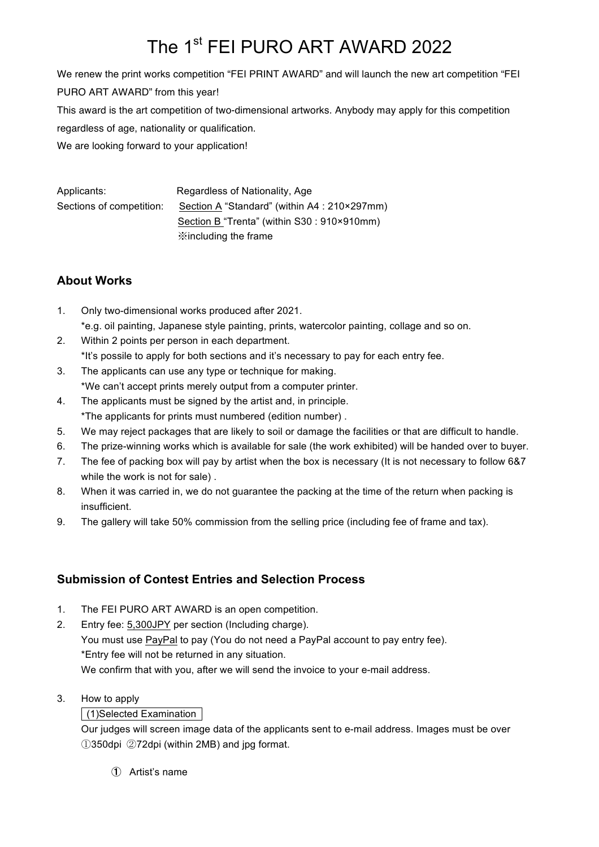# The 1<sup>st</sup> FEI PURO ART AWARD 2022

We renew the print works competition "FEI PRINT AWARD" and will launch the new art competition "FEI PURO ART AWARD" from this year! This award is the art competition of two-dimensional artworks. Anybody may apply for this competition regardless of age, nationality or qualification. We are looking forward to your application!

Applicants: Regardless of Nationality, Age Sections of competition: Section A "Standard" (within A4 : 210×297mm) Section B "Trenta" (within S30 : 910×910mm) ※including the frame

## **About Works**

- 1. Only two-dimensional works produced after 2021. \*e.g. oil painting, Japanese style painting, prints, watercolor painting, collage and so on.
- 2. Within 2 points per person in each department. \*It's possile to apply for both sections and it's necessary to pay for each entry fee.
- 3. The applicants can use any type or technique for making.
	- \*We can't accept prints merely output from a computer printer.
- 4. The applicants must be signed by the artist and, in principle. \*The applicants for prints must numbered (edition number) .
- 5. We may reject packages that are likely to soil or damage the facilities or that are difficult to handle.
- 6. The prize-winning works which is available for sale (the work exhibited) will be handed over to buyer.
- 7. The fee of packing box will pay by artist when the box is necessary (It is not necessary to follow 6&7 while the work is not for sale) .
- 8. When it was carried in, we do not guarantee the packing at the time of the return when packing is insufficient.
- 9. The gallery will take 50% commission from the selling price (including fee of frame and tax).

# **Submission of Contest Entries and Selection Process**

1. The FEI PURO ART AWARD is an open competition.

2. Entry fee: 5,300JPY per section (Including charge). You must use PayPal to pay (You do not need a PayPal account to pay entry fee). \*Entry fee will not be returned in any situation. We confirm that with you, after we will send the invoice to your e-mail address.

3. How to apply

## (1)Selected Examination

Our judges will screen image data of the applicants sent to e-mail address. Images must be over ①350dpi ②72dpi (within 2MB) and jpg format.

① Artist's name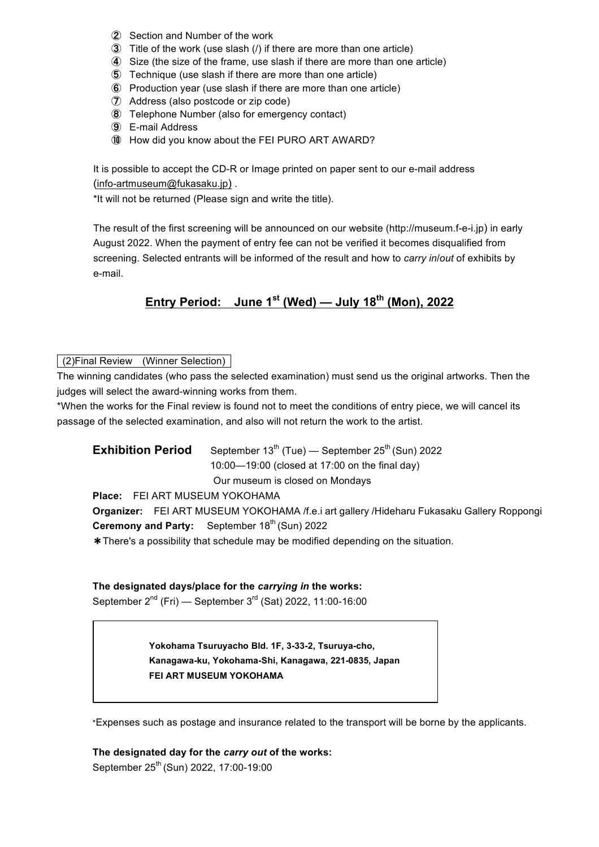- ② Section and Number of the work
- ③ Title of the work (use slash (/) if there are more than one article)
- ④ Size (the size of the frame, use slash if there are more than one article)
- ⑤ Technique (use slash if there are more than one article)
- ⑥ Production year (use slash if there are more than one article)
- ⑦ Address (also postcode or zip code)
- ⑧ Telephone Number (also for emergency contact)
- ⑨ E-mail Address
- ⑩ How did you know about the FEI PURO ART AWARD?

It is possible to accept the CD-R or Image printed on paper sent to our e-mail address (info-artmuseum@fukasaku.jp) .

\*It will not be returned (Please sign and write the title).

The result of the first screening will be announced on our website (http://museum.f-e-i.jp) in early August 2022. When the payment of entry fee can not be verified it becomes disqualified from screening. Selected entrants will be informed of the result and how to *carry in*/*out* of exhibits by e-mail.

# **Entry Period: June 1st (Wed) — July 18th (Mon), 2022**

(2)Final Review (Winner Selection)

The winning candidates (who pass the selected examination) must send us the original artworks. Then the judges will select the award-winning works from them.

\*When the works for the Final review is found not to meet the conditions of entry piece, we will cancel its passage of the selected examination, and also will not return the work to the artist.

**Exhibition Period** September  $13<sup>th</sup>$  (Tue) — September  $25<sup>th</sup>$  (Sun) 2022 10:00—19:00 (closed at 17:00 on the final day) Our museum is closed on Mondays

**Place:** FEI ART MUSEUM YOKOHAMA

**Organizer:** FEI ART MUSEUM YOKOHAMA /f.e.i art gallery /Hideharu Fukasaku Gallery Roppongi **Ceremony and Party:** September 18<sup>th</sup> (Sun) 2022

\*There's a possibility that schedule may be modified depending on the situation.

#### **The designated days/place for the** *carrying in* **the works:**

September  $2^{nd}$  (Fri) — September  $3^{rd}$  (Sat) 2022, 11:00-16:00

**Yokohama Tsuruyacho Bld. 1F, 3-33-2, Tsuruya-cho, Kanagawa-ku, Yokohama-Shi, Kanagawa, 221-0835, Japan FEI ART MUSEUM YOKOHAMA**

\*Expenses such as postage and insurance related to the transport will be borne by the applicants.

**The designated day for the** *carry out* **of the works:** September 25<sup>th</sup> (Sun) 2022, 17:00-19:00